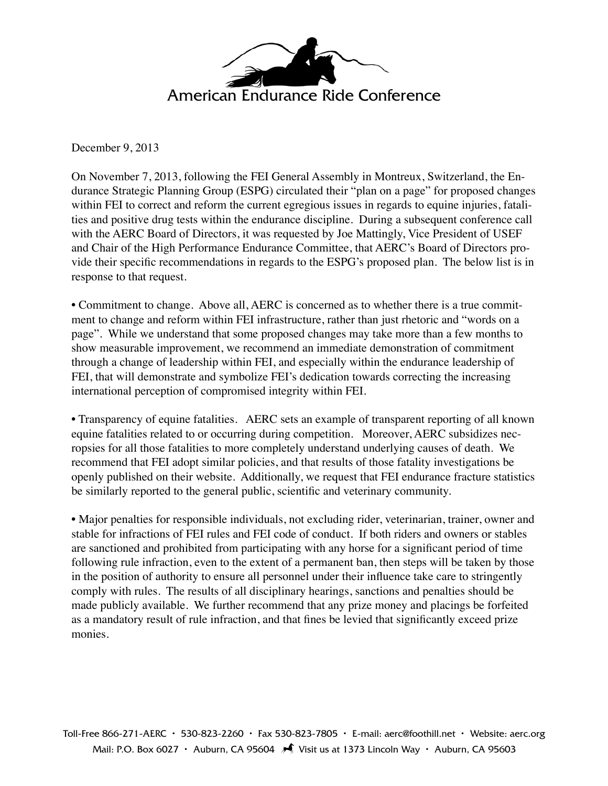

December 9, 2013

On November 7, 2013, following the FEI General Assembly in Montreux, Switzerland, the Endurance Strategic Planning Group (ESPG) circulated their "plan on a page" for proposed changes within FEI to correct and reform the current egregious issues in regards to equine injuries, fatalities and positive drug tests within the endurance discipline. During a subsequent conference call with the AERC Board of Directors, it was requested by Joe Mattingly, Vice President of USEF and Chair of the High Performance Endurance Committee, that AERC's Board of Directors provide their specific recommendations in regards to the ESPG's proposed plan. The below list is in response to that request.

• Commitment to change. Above all, AERC is concerned as to whether there is a true commitment to change and reform within FEI infrastructure, rather than just rhetoric and "words on a page". While we understand that some proposed changes may take more than a few months to show measurable improvement, we recommend an immediate demonstration of commitment through a change of leadership within FEI, and especially within the endurance leadership of FEI, that will demonstrate and symbolize FEI's dedication towards correcting the increasing international perception of compromised integrity within FEI.

• Transparency of equine fatalities. AERC sets an example of transparent reporting of all known equine fatalities related to or occurring during competition. Moreover, AERC subsidizes necropsies for all those fatalities to more completely understand underlying causes of death. We recommend that FEI adopt similar policies, and that results of those fatality investigations be openly published on their website. Additionally, we request that FEI endurance fracture statistics be similarly reported to the general public, scientific and veterinary community.

• Major penalties for responsible individuals, not excluding rider, veterinarian, trainer, owner and stable for infractions of FEI rules and FEI code of conduct. If both riders and owners or stables are sanctioned and prohibited from participating with any horse for a significant period of time following rule infraction, even to the extent of a permanent ban, then steps will be taken by those in the position of authority to ensure all personnel under their influence take care to stringently comply with rules. The results of all disciplinary hearings, sanctions and penalties should be made publicly available. We further recommend that any prize money and placings be forfeited as a mandatory result of rule infraction, and that fines be levied that significantly exceed prize monies.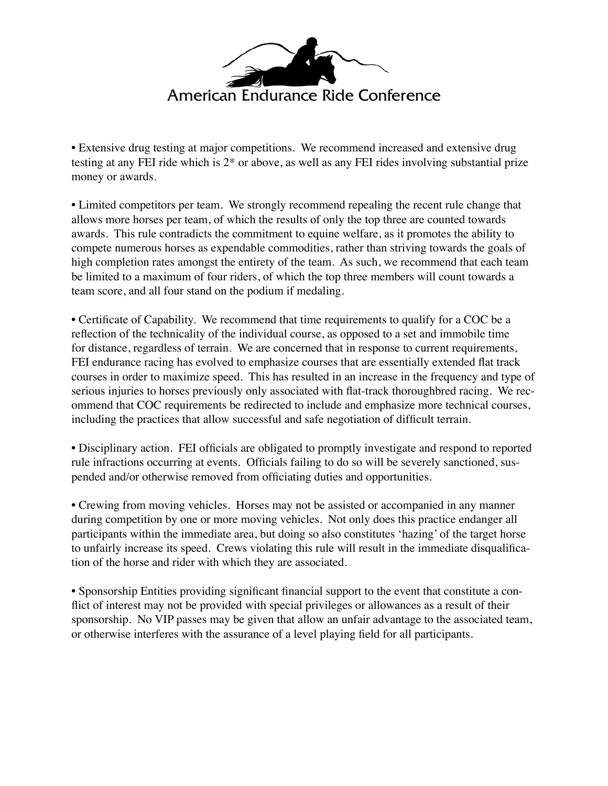

• Extensive drug testing at major competitions. We recommend increased and extensive drug testing at any FEI ride which is 2\* or above, as well as any FEI rides involving substantial prize money or awards.

• Limited competitors per team. We strongly recommend repealing the recent rule change that allows more horses per team, of which the results of only the top three are counted towards awards. This rule contradicts the commitment to equine welfare, as it promotes the ability to compete numerous horses as expendable commodities, rather than striving towards the goals of high completion rates amongst the entirety of the team. As such, we recommend that each team be limited to a maximum of four riders, of which the top three members will count towards a team score, and all four stand on the podium if medaling.

• Certificate of Capability. We recommend that time requirements to qualify for a COC be a reflection of the technicality of the individual course, as opposed to a set and immobile time for distance, regardless of terrain. We are concerned that in response to current requirements, FEI endurance racing has evolved to emphasize courses that are essentially extended flat track courses in order to maximize speed. This has resulted in an increase in the frequency and type of serious injuries to horses previously only associated with flat-track thoroughbred racing. We recommend that COC requirements be redirected to include and emphasize more technical courses, including the practices that allow successful and safe negotiation of difficult terrain.

• Disciplinary action. FEI officials are obligated to promptly investigate and respond to reported rule infractions occurring at events. Officials failing to do so will be severely sanctioned, suspended and/or otherwise removed from officiating duties and opportunities.

• Crewing from moving vehicles. Horses may not be assisted or accompanied in any manner during competition by one or more moving vehicles. Not only does this practice endanger all participants within the immediate area, but doing so also constitutes 'hazing' of the target horse to unfairly increase its speed. Crews violating this rule will result in the immediate disqualification of the horse and rider with which they are associated.

• Sponsorship Entities providing significant financial support to the event that constitute a conflict of interest may not be provided with special privileges or allowances as a result of their sponsorship. No VIP passes may be given that allow an unfair advantage to the associated team, or otherwise interferes with the assurance of a level playing field for all participants.